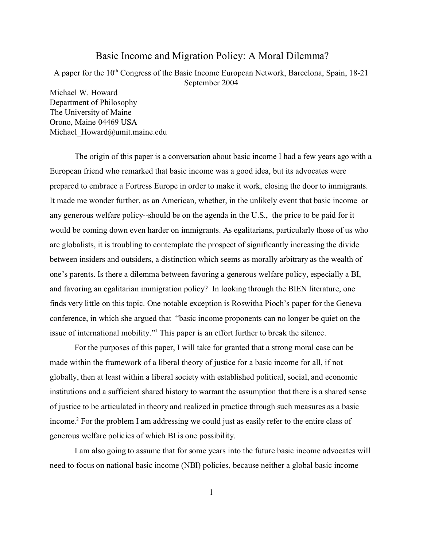# Basic Income and Migration Policy: A Moral Dilemma?

A paper for the 10th Congress of the Basic Income European Network, Barcelona, Spain, 18-21 September 2004

Michael W. Howard Department of Philosophy The University of Maine Orono, Maine 04469 USA Michael Howard@umit.maine.edu

The origin of this paper is a conversation about basic income I had a few years ago with a European friend who remarked that basic income was a good idea, but its advocates were prepared to embrace a Fortress Europe in order to make it work, closing the door to immigrants. It made me wonder further, as an American, whether, in the unlikely event that basic income–or any generous welfare policy--should be on the agenda in the U.S., the price to be paid for it would be coming down even harder on immigrants. As egalitarians, particularly those of us who are globalists, it is troubling to contemplate the prospect of significantly increasing the divide between insiders and outsiders, a distinction which seems as morally arbitrary as the wealth of one's parents. Is there a dilemma between favoring a generous welfare policy, especially a BI, and favoring an egalitarian immigration policy? In looking through the BIEN literature, one finds very little on this topic. One notable exception is Roswitha Pioch's paper for the Geneva conference, in which she argued that "basic income proponents can no longer be quiet on the issue of international mobility."<sup>1</sup> This paper is an effort further to break the silence.

For the purposes of this paper, I will take for granted that a strong moral case can be made within the framework of a liberal theory of justice for a basic income for all, if not globally, then at least within a liberal society with established political, social, and economic institutions and a sufficient shared history to warrant the assumption that there is a shared sense of justice to be articulated in theory and realized in practice through such measures as a basic income. 2 For the problem I am addressing we could just as easily refer to the entire class of generous welfare policies of which BI is one possibility.

I am also going to assume that for some years into the future basic income advocates will need to focus on national basic income (NBI) policies, because neither a global basic income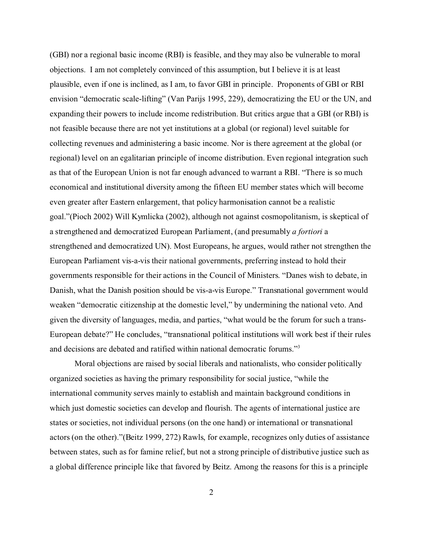(GBI) nor a regional basic income (RBI) is feasible, and they may also be vulnerable to moral objections. I am not completely convinced of this assumption, but I believe it is at least plausible, even if one is inclined, as I am, to favor GBI in principle. Proponents of GBI or RBI envision "democratic scale-lifting" (Van Parijs 1995, 229), democratizing the EU or the UN, and expanding their powers to include income redistribution. But critics argue that a GBI (or RBI) is not feasible because there are not yet institutions at a global (or regional) level suitable for collecting revenues and administering a basic income. Nor is there agreement at the global (or regional) level on an egalitarian principle of income distribution. Even regional integration such as that of the European Union is not far enough advanced to warrant a RBI. "There is so much economical and institutional diversity among the fifteen EU member states which will become even greater after Eastern enlargement, that policy harmonisation cannot be a realistic goal."(Pioch 2002) Will Kymlicka (2002), although not against cosmopolitanism, is skeptical of a strengthened and democratized European Parliament, (and presumably *a fortiori* a strengthened and democratized UN). Most Europeans, he argues, would rather not strengthen the European Parliament vis-a-vis their national governments, preferring instead to hold their governments responsible for their actions in the Council of Ministers. "Danes wish to debate, in Danish, what the Danish position should be vis-a-vis Europe." Transnational government would weaken "democratic citizenship at the domestic level," by undermining the national veto. And given the diversity of languages, media, and parties, "what would be the forum for such a trans-European debate?" He concludes, "transnational political institutions will work best if their rules and decisions are debated and ratified within national democratic forums."<sup>3</sup>

Moral objections are raised by social liberals and nationalists, who consider politically organized societies as having the primary responsibility for social justice, "while the international community serves mainly to establish and maintain background conditions in which just domestic societies can develop and flourish. The agents of international justice are states or societies, not individual persons (on the one hand) or international or transnational actors (on the other)."(Beitz 1999, 272) Rawls, for example, recognizes only duties of assistance between states, such as for famine relief, but not a strong principle of distributive justice such as a global difference principle like that favored by Beitz. Among the reasons for this is a principle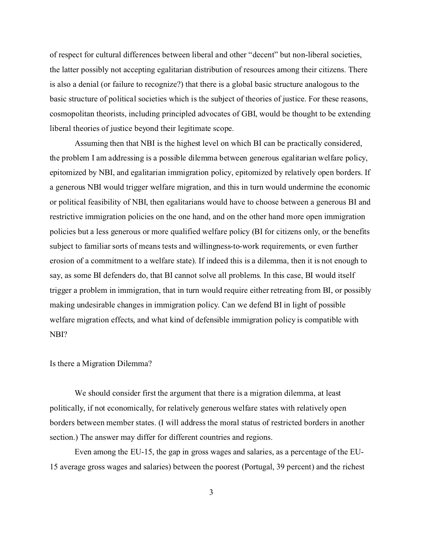of respect for cultural differences between liberal and other "decent" but non-liberal societies, the latter possibly not accepting egalitarian distribution of resources among their citizens. There is also a denial (or failure to recognize?) that there is a global basic structure analogous to the basic structure of political societies which is the subject of theories of justice. For these reasons, cosmopolitan theorists, including principled advocates of GBI, would be thought to be extending liberal theories of justice beyond their legitimate scope.

Assuming then that NBI is the highest level on which BI can be practically considered, the problem I am addressing is a possible dilemma between generous egalitarian welfare policy, epitomized by NBI, and egalitarian immigration policy, epitomized by relatively open borders. If a generous NBI would trigger welfare migration, and this in turn would undermine the economic or political feasibility of NBI, then egalitarians would have to choose between a generous BI and restrictive immigration policies on the one hand, and on the other hand more open immigration policies but a less generous or more qualified welfare policy (BI for citizens only, or the benefits subject to familiar sorts of means tests and willingness-to-work requirements, or even further erosion of a commitment to a welfare state). If indeed this is a dilemma, then it is not enough to say, as some BI defenders do, that BI cannot solve all problems. In this case, BI would itself trigger a problem in immigration, that in turn would require either retreating from BI, or possibly making undesirable changes in immigration policy. Can we defend BI in light of possible welfare migration effects, and what kind of defensible immigration policy is compatible with NBI?

# Is there a Migration Dilemma?

We should consider first the argument that there is a migration dilemma, at least politically, if not economically, for relatively generous welfare states with relatively open borders between member states. (I will address the moral status of restricted borders in another section.) The answer may differ for different countries and regions.

Even among the EU-15, the gap in gross wages and salaries, as a percentage of the EU-15 average gross wages and salaries) between the poorest (Portugal, 39 percent) and the richest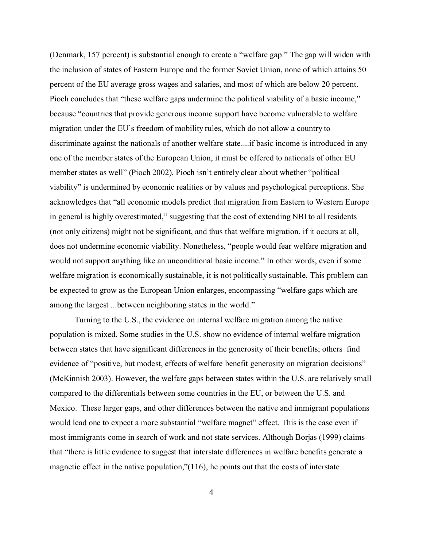(Denmark, 157 percent) is substantial enough to create a "welfare gap." The gap will widen with the inclusion of states of Eastern Europe and the former Soviet Union, none of which attains 50 percent of the EU average gross wages and salaries, and most of which are below 20 percent. Pioch concludes that "these welfare gaps undermine the political viability of a basic income," because "countries that provide generous income support have become vulnerable to welfare migration under the EU's freedom of mobility rules, which do not allow a country to discriminate against the nationals of another welfare state....if basic income is introduced in any one of the member states of the European Union, it must be offered to nationals of other EU member states as well" (Pioch 2002). Pioch isn't entirely clear about whether "political viability" is undermined by economic realities or by values and psychological perceptions. She acknowledges that "all economic models predict that migration from Eastern to Western Europe in general is highly overestimated," suggesting that the cost of extending NBI to all residents (not only citizens) might not be significant, and thus that welfare migration, if it occurs at all, does not undermine economic viability. Nonetheless, "people would fear welfare migration and would not support anything like an unconditional basic income." In other words, even if some welfare migration is economically sustainable, it is not politically sustainable. This problem can be expected to grow as the European Union enlarges, encompassing "welfare gaps which are among the largest ...between neighboring states in the world."

Turning to the U.S., the evidence on internal welfare migration among the native population is mixed. Some studies in the U.S. show no evidence of internal welfare migration between states that have significant differences in the generosity of their benefits; others find evidence of "positive, but modest, effects of welfare benefit generosity on migration decisions" (McKinnish 2003). However, the welfare gaps between states within the U.S. are relatively small compared to the differentials between some countries in the EU, or between the U.S. and Mexico. These larger gaps, and other differences between the native and immigrant populations would lead one to expect a more substantial "welfare magnet" effect. This is the case even if most immigrants come in search of work and not state services. Although Borjas (1999) claims that "there is little evidence to suggest that interstate differences in welfare benefits generate a magnetic effect in the native population,"(116), he points out that the costs of interstate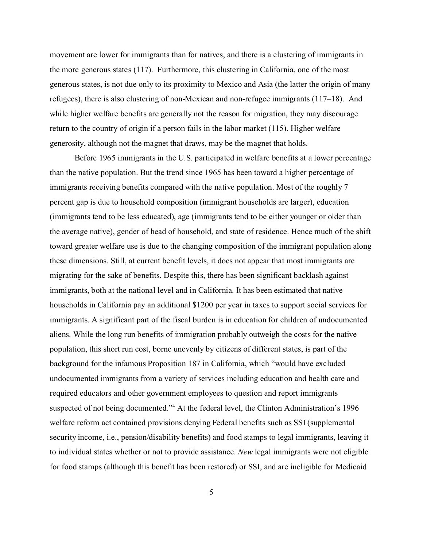movement are lower for immigrants than for natives, and there is a clustering of immigrants in the more generous states (117). Furthermore, this clustering in California, one of the most generous states, is not due only to its proximity to Mexico and Asia (the latter the origin of many refugees), there is also clustering of non-Mexican and non-refugee immigrants (117–18). And while higher welfare benefits are generally not the reason for migration, they may discourage return to the country of origin if a person fails in the labor market (115). Higher welfare generosity, although not the magnet that draws, may be the magnet that holds.

Before 1965 immigrants in the U.S. participated in welfare benefits at a lower percentage than the native population. But the trend since 1965 has been toward a higher percentage of immigrants receiving benefits compared with the native population. Most of the roughly 7 percent gap is due to household composition (immigrant households are larger), education (immigrants tend to be less educated), age (immigrants tend to be either younger or older than the average native), gender of head of household, and state of residence. Hence much of the shift toward greater welfare use is due to the changing composition of the immigrant population along these dimensions. Still, at current benefit levels, it does not appear that most immigrants are migrating for the sake of benefits. Despite this, there has been significant backlash against immigrants, both at the national level and in California. It has been estimated that native households in California pay an additional \$1200 per year in taxes to support social services for immigrants. A significant part of the fiscal burden is in education for children of undocumented aliens. While the long run benefits of immigration probably outweigh the costs for the native population, this short run cost, borne unevenly by citizens of different states, is part of the background for the infamous Proposition 187 in California, which "would have excluded undocumented immigrants from a variety of services including education and health care and required educators and other government employees to question and report immigrants suspected of not being documented."<sup>4</sup> At the federal level, the Clinton Administration's 1996 welfare reform act contained provisions denying Federal benefits such as SSI (supplemental security income, i.e., pension/disability benefits) and food stamps to legal immigrants, leaving it to individual states whether or not to provide assistance. *New* legal immigrants were not eligible for food stamps (although this benefit has been restored) or SSI, and are ineligible for Medicaid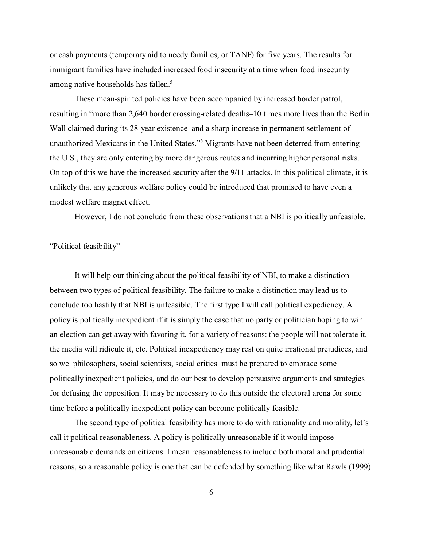or cash payments (temporary aid to needy families, or TANF) for five years. The results for immigrant families have included increased food insecurity at a time when food insecurity among native households has fallen.<sup>5</sup>

These mean-spirited policies have been accompanied by increased border patrol, resulting in "more than 2,640 border crossing-related deaths–10 times more lives than the Berlin Wall claimed during its 28-year existence–and a sharp increase in permanent settlement of unauthorized Mexicans in the United States."<sup>6</sup> Migrants have not been deterred from entering the U.S., they are only entering by more dangerous routes and incurring higher personal risks. On top of this we have the increased security after the 9/11 attacks. In this political climate, it is unlikely that any generous welfare policy could be introduced that promised to have even a modest welfare magnet effect.

However, I do not conclude from these observations that a NBI is politically unfeasible.

# "Political feasibility"

It will help our thinking about the political feasibility of NBI, to make a distinction between two types of political feasibility. The failure to make a distinction may lead us to conclude too hastily that NBI is unfeasible. The first type I will call political expediency. A policy is politically inexpedient if it is simply the case that no party or politician hoping to win an election can get away with favoring it, for a variety of reasons: the people will not tolerate it, the media will ridicule it, etc. Political inexpediency may rest on quite irrational prejudices, and so we–philosophers, social scientists, social critics–must be prepared to embrace some politically inexpedient policies, and do our best to develop persuasive arguments and strategies for defusing the opposition. It may be necessary to do this outside the electoral arena for some time before a politically inexpedient policy can become politically feasible.

The second type of political feasibility has more to do with rationality and morality, let's call it political reasonableness. A policy is politically unreasonable if it would impose unreasonable demands on citizens. I mean reasonableness to include both moral and prudential reasons, so a reasonable policy is one that can be defended by something like what Rawls (1999)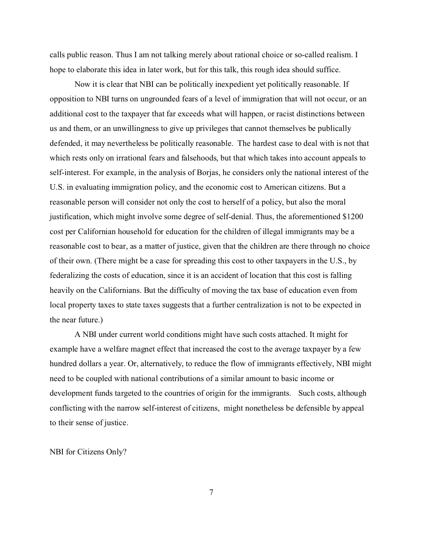calls public reason. Thus I am not talking merely about rational choice or so-called realism. I hope to elaborate this idea in later work, but for this talk, this rough idea should suffice.

Now it is clear that NBI can be politically inexpedient yet politically reasonable. If opposition to NBI turns on ungrounded fears of a level of immigration that will not occur, or an additional cost to the taxpayer that far exceeds what will happen, or racist distinctions between us and them, or an unwillingness to give up privileges that cannot themselves be publically defended, it may nevertheless be politically reasonable. The hardest case to deal with is not that which rests only on irrational fears and falsehoods, but that which takes into account appeals to self-interest. For example, in the analysis of Borjas, he considers only the national interest of the U.S. in evaluating immigration policy, and the economic cost to American citizens. But a reasonable person will consider not only the cost to herself of a policy, but also the moral justification, which might involve some degree of self-denial. Thus, the aforementioned \$1200 cost per Californian household for education for the children of illegal immigrants may be a reasonable cost to bear, as a matter of justice, given that the children are there through no choice of their own. (There might be a case for spreading this cost to other taxpayers in the U.S., by federalizing the costs of education, since it is an accident of location that this cost is falling heavily on the Californians. But the difficulty of moving the tax base of education even from local property taxes to state taxes suggests that a further centralization is not to be expected in the near future.)

A NBI under current world conditions might have such costs attached. It might for example have a welfare magnet effect that increased the cost to the average taxpayer by a few hundred dollars a year. Or, alternatively, to reduce the flow of immigrants effectively, NBI might need to be coupled with national contributions of a similar amount to basic income or development funds targeted to the countries of origin for the immigrants. Such costs, although conflicting with the narrow self-interest of citizens, might nonetheless be defensible by appeal to their sense of justice.

NBI for Citizens Only?

7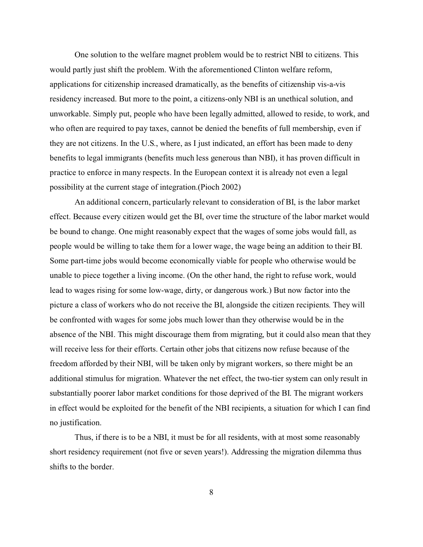One solution to the welfare magnet problem would be to restrict NBI to citizens. This would partly just shift the problem. With the aforementioned Clinton welfare reform, applications for citizenship increased dramatically, as the benefits of citizenship vis-a-vis residency increased. But more to the point, a citizens-only NBI is an unethical solution, and unworkable. Simply put, people who have been legally admitted, allowed to reside, to work, and who often are required to pay taxes, cannot be denied the benefits of full membership, even if they are not citizens. In the U.S., where, as I just indicated, an effort has been made to deny benefits to legal immigrants (benefits much less generous than NBI), it has proven difficult in practice to enforce in many respects. In the European context it is already not even a legal possibility at the current stage of integration.(Pioch 2002)

An additional concern, particularly relevant to consideration of BI, is the labor market effect. Because every citizen would get the BI, over time the structure of the labor market would be bound to change. One might reasonably expect that the wages of some jobs would fall, as people would be willing to take them for a lower wage, the wage being an addition to their BI. Some part-time jobs would become economically viable for people who otherwise would be unable to piece together a living income. (On the other hand, the right to refuse work, would lead to wages rising for some low-wage, dirty, or dangerous work.) But now factor into the picture a class of workers who do not receive the BI, alongside the citizen recipients. They will be confronted with wages for some jobs much lower than they otherwise would be in the absence of the NBI. This might discourage them from migrating, but it could also mean that they will receive less for their efforts. Certain other jobs that citizens now refuse because of the freedom afforded by their NBI, will be taken only by migrant workers, so there might be an additional stimulus for migration. Whatever the net effect, the two-tier system can only result in substantially poorer labor market conditions for those deprived of the BI. The migrant workers in effect would be exploited for the benefit of the NBI recipients, a situation for which I can find no justification.

Thus, if there is to be a NBI, it must be for all residents, with at most some reasonably short residency requirement (not five or seven years!). Addressing the migration dilemma thus shifts to the border.

8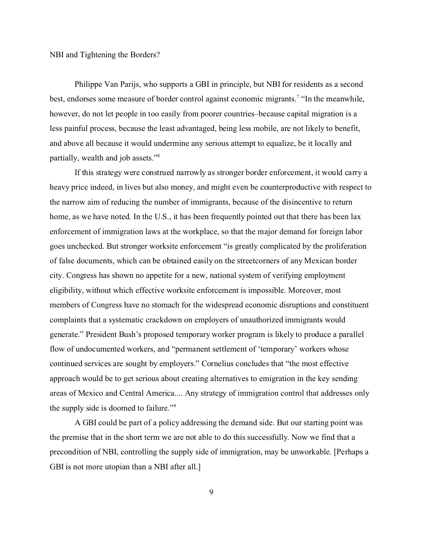NBI and Tightening the Borders?

Philippe Van Parijs, who supports a GBI in principle, but NBI for residents as a second best, endorses some measure of border control against economic migrants.<sup>7</sup> "In the meanwhile, however, do not let people in too easily from poorer countries–because capital migration is a less painful process, because the least advantaged, being less mobile, are not likely to benefit, and above all because it would undermine any serious attempt to equalize, be it locally and partially, wealth and job assets."<sup>8</sup>

If this strategy were construed narrowly as stronger border enforcement, it would carry a heavy price indeed, in lives but also money, and might even be counterproductive with respect to the narrow aim of reducing the number of immigrants, because of the disincentive to return home, as we have noted. In the U.S., it has been frequently pointed out that there has been lax enforcement of immigration laws at the workplace, so that the major demand for foreign labor goes unchecked. But stronger worksite enforcement "is greatly complicated by the proliferation of false documents, which can be obtained easily on the streetcorners of any Mexican border city. Congress has shown no appetite for a new, national system of verifying employment eligibility, without which effective worksite enforcement is impossible. Moreover, most members of Congress have no stomach for the widespread economic disruptions and constituent complaints that a systematic crackdown on employers of unauthorized immigrants would generate." President Bush's proposed temporary worker program is likely to produce a parallel flow of undocumented workers, and "permanent settlement of 'temporary' workers whose continued services are sought by employers." Cornelius concludes that "the most effective approach would be to get serious about creating alternatives to emigration in the key sending areas of Mexico and Central America.... Any strategy of immigration control that addresses only the supply side is doomed to failure."<sup>9</sup>

A GBI could be part of a policy addressing the demand side. But our starting point was the premise that in the short term we are not able to do this successfully. Now we find that a precondition of NBI, controlling the supply side of immigration, may be unworkable. [Perhaps a GBI is not more utopian than a NBI after all.]

9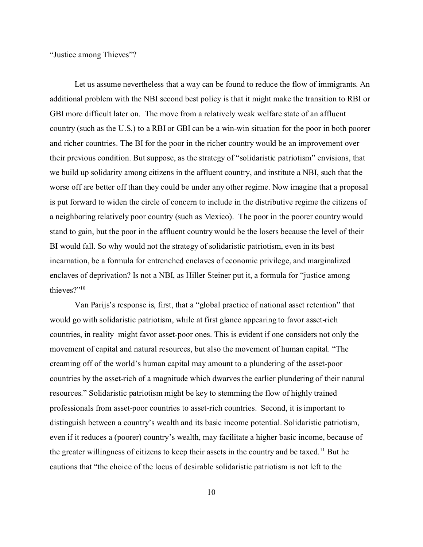"Justice among Thieves"?

Let us assume nevertheless that a way can be found to reduce the flow of immigrants. An additional problem with the NBI second best policy is that it might make the transition to RBI or GBI more difficult later on. The move from a relatively weak welfare state of an affluent country (such as the U.S.) to a RBI or GBI can be a win-win situation for the poor in both poorer and richer countries. The BI for the poor in the richer country would be an improvement over their previous condition. But suppose, as the strategy of "solidaristic patriotism" envisions, that we build up solidarity among citizens in the affluent country, and institute a NBI, such that the worse off are better off than they could be under any other regime. Now imagine that a proposal is put forward to widen the circle of concern to include in the distributive regime the citizens of a neighboring relatively poor country (such as Mexico). The poor in the poorer country would stand to gain, but the poor in the affluent country would be the losers because the level of their BI would fall. So why would not the strategy of solidaristic patriotism, even in its best incarnation, be a formula for entrenched enclaves of economic privilege, and marginalized enclaves of deprivation? Is not a NBI, as Hiller Steiner put it, a formula for "justice among thieves?"<sup>10</sup>

Van Parijs's response is, first, that a "global practice of national asset retention" that would go with solidaristic patriotism, while at first glance appearing to favor asset-rich countries, in reality might favor asset-poor ones. This is evident if one considers not only the movement of capital and natural resources, but also the movement of human capital. "The creaming off of the world's human capital may amount to a plundering of the asset-poor countries by the asset-rich of a magnitude which dwarves the earlier plundering of their natural resources." Solidaristic patriotism might be key to stemming the flow of highly trained professionals from asset-poor countries to asset-rich countries. Second, it is important to distinguish between a country's wealth and its basic income potential. Solidaristic patriotism, even if it reduces a (poorer) country's wealth, may facilitate a higher basic income, because of the greater willingness of citizens to keep their assets in the country and be taxed.<sup>11</sup> But he cautions that "the choice of the locus of desirable solidaristic patriotism is not left to the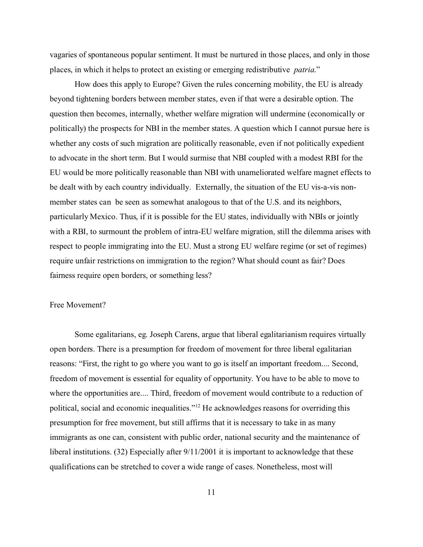vagaries of spontaneous popular sentiment. It must be nurtured in those places, and only in those places, in which it helps to protect an existing or emerging redistributive *patria*."

How does this apply to Europe? Given the rules concerning mobility, the EU is already beyond tightening borders between member states, even if that were a desirable option. The question then becomes, internally, whether welfare migration will undermine (economically or politically) the prospects for NBI in the member states. A question which I cannot pursue here is whether any costs of such migration are politically reasonable, even if not politically expedient to advocate in the short term. But I would surmise that NBI coupled with a modest RBI for the EU would be more politically reasonable than NBI with unameliorated welfare magnet effects to be dealt with by each country individually. Externally, the situation of the EU vis-a-vis nonmember states can be seen as somewhat analogous to that of the U.S. and its neighbors, particularly Mexico. Thus, if it is possible for the EU states, individually with NBIs or jointly with a RBI, to surmount the problem of intra-EU welfare migration, still the dilemma arises with respect to people immigrating into the EU. Must a strong EU welfare regime (or set of regimes) require unfair restrictions on immigration to the region? What should count as fair? Does fairness require open borders, or something less?

#### Free Movement?

Some egalitarians, eg. Joseph Carens, argue that liberal egalitarianism requires virtually open borders. There is a presumption for freedom of movement for three liberal egalitarian reasons: "First, the right to go where you want to go is itself an important freedom.... Second, freedom of movement is essential for equality of opportunity. You have to be able to move to where the opportunities are.... Third, freedom of movement would contribute to a reduction of political, social and economic inequalities."<sup>12</sup> He acknowledges reasons for overriding this presumption for free movement, but still affirms that it is necessary to take in as many immigrants as one can, consistent with public order, national security and the maintenance of liberal institutions. (32) Especially after  $9/11/2001$  it is important to acknowledge that these qualifications can be stretched to cover a wide range of cases. Nonetheless, most will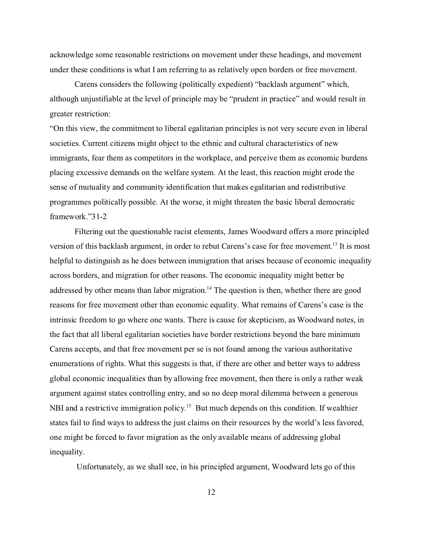acknowledge some reasonable restrictions on movement under these headings, and movement under these conditions is what I am referring to as relatively open borders or free movement.

Carens considers the following (politically expedient) "backlash argument" which, although unjustifiable at the level of principle may be "prudent in practice" and would result in greater restriction:

"On this view, the commitment to liberal egalitarian principles is not very secure even in liberal societies. Current citizens might object to the ethnic and cultural characteristics of new immigrants, fear them as competitors in the workplace, and perceive them as economic burdens placing excessive demands on the welfare system. At the least, this reaction might erode the sense of mutuality and community identification that makes egalitarian and redistributive programmes politically possible. At the worse, it might threaten the basic liberal democratic framework."31-2

Filtering out the questionable racist elements, James Woodward offers a more principled version of this backlash argument, in order to rebut Carens's case for free movement.<sup>13</sup> It is most helpful to distinguish as he does between immigration that arises because of economic inequality across borders, and migration for other reasons. The economic inequality might better be addressed by other means than labor migration.<sup>14</sup> The question is then, whether there are good reasons for free movement other than economic equality. What remains of Carens's case is the intrinsic freedom to go where one wants. There is cause for skepticism, as Woodward notes, in the fact that all liberal egalitarian societies have border restrictions beyond the bare minimum Carens accepts, and that free movement per se is not found among the various authoritative enumerations of rights. What this suggests is that, if there are other and better ways to address global economic inequalities than by allowing free movement, then there is only a rather weak argument against states controlling entry, and so no deep moral dilemma between a generous NBI and a restrictive immigration policy.<sup>15</sup> But much depends on this condition. If wealthier states fail to find ways to address the just claims on their resources by the world's less favored, one might be forced to favor migration as the only available means of addressing global inequality.

Unfortunately, as we shall see, in his principled argument, Woodward lets go of this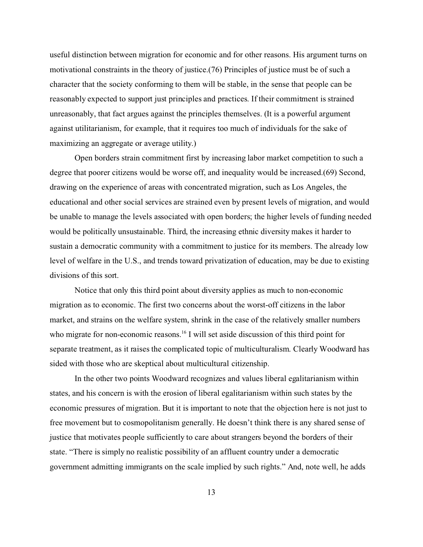useful distinction between migration for economic and for other reasons. His argument turns on motivational constraints in the theory of justice.(76) Principles of justice must be of such a character that the society conforming to them will be stable, in the sense that people can be reasonably expected to support just principles and practices. If their commitment is strained unreasonably, that fact argues against the principles themselves. (It is a powerful argument against utilitarianism, for example, that it requires too much of individuals for the sake of maximizing an aggregate or average utility.)

Open borders strain commitment first by increasing labor market competition to such a degree that poorer citizens would be worse off, and inequality would be increased.(69) Second, drawing on the experience of areas with concentrated migration, such as Los Angeles, the educational and other social services are strained even by present levels of migration, and would be unable to manage the levels associated with open borders; the higher levels of funding needed would be politically unsustainable. Third, the increasing ethnic diversity makes it harder to sustain a democratic community with a commitment to justice for its members. The already low level of welfare in the U.S., and trends toward privatization of education, may be due to existing divisions of this sort.

Notice that only this third point about diversity applies as much to non-economic migration as to economic. The first two concerns about the worst-off citizens in the labor market, and strains on the welfare system, shrink in the case of the relatively smaller numbers who migrate for non-economic reasons.<sup>16</sup> I will set aside discussion of this third point for separate treatment, as it raises the complicated topic of multiculturalism. Clearly Woodward has sided with those who are skeptical about multicultural citizenship.

In the other two points Woodward recognizes and values liberal egalitarianism within states, and his concern is with the erosion of liberal egalitarianism within such states by the economic pressures of migration. But it is important to note that the objection here is not just to free movement but to cosmopolitanism generally. He doesn't think there is any shared sense of justice that motivates people sufficiently to care about strangers beyond the borders of their state. "There is simply no realistic possibility of an affluent country under a democratic government admitting immigrants on the scale implied by such rights." And, note well, he adds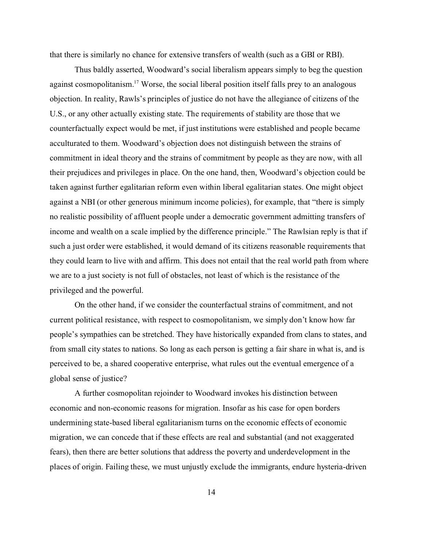that there is similarly no chance for extensive transfers of wealth (such as a GBI or RBI).

Thus baldly asserted, Woodward's social liberalism appears simply to beg the question against cosmopolitanism.<sup>17</sup> Worse, the social liberal position itself falls prey to an analogous objection. In reality, Rawls's principles of justice do not have the allegiance of citizens of the U.S., or any other actually existing state. The requirements of stability are those that we counterfactually expect would be met, if just institutions were established and people became acculturated to them. Woodward's objection does not distinguish between the strains of commitment in ideal theory and the strains of commitment by people as they are now, with all their prejudices and privileges in place. On the one hand, then, Woodward's objection could be taken against further egalitarian reform even within liberal egalitarian states. One might object against a NBI (or other generous minimum income policies), for example, that "there is simply no realistic possibility of affluent people under a democratic government admitting transfers of income and wealth on a scale implied by the difference principle." The Rawlsian reply is that if such a just order were established, it would demand of its citizens reasonable requirements that they could learn to live with and affirm. This does not entail that the real world path from where we are to a just society is not full of obstacles, not least of which is the resistance of the privileged and the powerful.

On the other hand, if we consider the counterfactual strains of commitment, and not current political resistance, with respect to cosmopolitanism, we simply don't know how far people's sympathies can be stretched. They have historically expanded from clans to states, and from small city states to nations. So long as each person is getting a fair share in what is, and is perceived to be, a shared cooperative enterprise, what rules out the eventual emergence of a global sense of justice?

A further cosmopolitan rejoinder to Woodward invokes his distinction between economic and non-economic reasons for migration. Insofar as his case for open borders undermining state-based liberal egalitarianism turns on the economic effects of economic migration, we can concede that if these effects are real and substantial (and not exaggerated fears), then there are better solutions that address the poverty and underdevelopment in the places of origin. Failing these, we must unjustly exclude the immigrants, endure hysteria-driven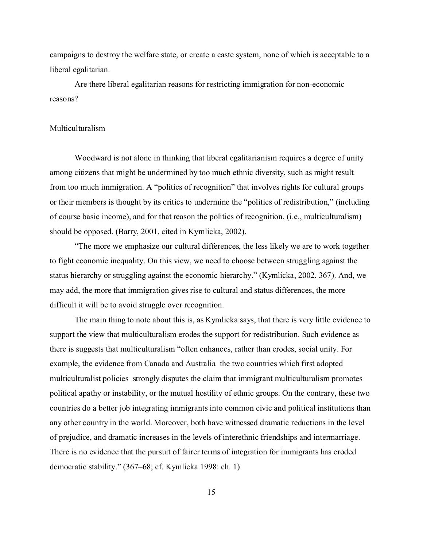campaigns to destroy the welfare state, or create a caste system, none of which is acceptable to a liberal egalitarian.

Are there liberal egalitarian reasons for restricting immigration for non-economic reasons?

### Multiculturalism

Woodward is not alone in thinking that liberal egalitarianism requires a degree of unity among citizens that might be undermined by too much ethnic diversity, such as might result from too much immigration. A "politics of recognition" that involves rights for cultural groups or their members is thought by its critics to undermine the "politics of redistribution," (including of course basic income), and for that reason the politics of recognition, (i.e., multiculturalism) should be opposed. (Barry, 2001, cited in Kymlicka, 2002).

"The more we emphasize our cultural differences, the less likely we are to work together to fight economic inequality. On this view, we need to choose between struggling against the status hierarchy or struggling against the economic hierarchy." (Kymlicka, 2002, 367). And, we may add, the more that immigration gives rise to cultural and status differences, the more difficult it will be to avoid struggle over recognition.

The main thing to note about this is, as Kymlicka says, that there is very little evidence to support the view that multiculturalism erodes the support for redistribution. Such evidence as there is suggests that multiculturalism "often enhances, rather than erodes, social unity. For example, the evidence from Canada and Australia–the two countries which first adopted multiculturalist policies–strongly disputes the claim that immigrant multiculturalism promotes political apathy or instability, or the mutual hostility of ethnic groups. On the contrary, these two countries do a better job integrating immigrants into common civic and political institutions than any other country in the world. Moreover, both have witnessed dramatic reductions in the level of prejudice, and dramatic increases in the levels of interethnic friendships and intermarriage. There is no evidence that the pursuit of fairer terms of integration for immigrants has eroded democratic stability." (367–68; cf. Kymlicka 1998: ch. 1)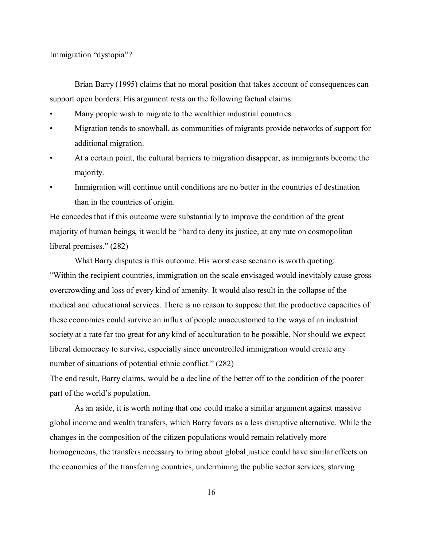Immigration "dystopia"?

Brian Barry (1995) claims that no moral position that takes account of consequences can support open borders. His argument rests on the following factual claims:

- Many people wish to migrate to the wealthier industrial countries.
- Migration tends to snowball, as communities of migrants provide networks of support for additional migration.
- At a certain point, the cultural barriers to migration disappear, as immigrants become the majority.
- Immigration will continue until conditions are no better in the countries of destination than in the countries of origin.

He concedes that if this outcome were substantially to improve the condition of the great majority of human beings, it would be "hard to deny its justice, at any rate on cosmopolitan liberal premises." (282)

What Barry disputes is this outcome. His worst case scenario is worth quoting: "Within the recipient countries, immigration on the scale envisaged would inevitably cause gross overcrowding and loss of every kind of amenity. It would also result in the collapse of the medical and educational services. There is no reason to suppose that the productive capacities of these economies could survive an influx of people unaccustomed to the ways of an industrial society at a rate far too great for any kind of acculturation to be possible. Nor should we expect liberal democracy to survive, especially since uncontrolled immigration would create any number of situations of potential ethnic conflict." (282)

The end result, Barry claims, would be a decline of the better off to the condition of the poorer part of the world's population.

As an aside, it is worth noting that one could make a similar argument against massive global income and wealth transfers, which Barry favors as a less disruptive alternative. While the changes in the composition of the citizen populations would remain relatively more homogeneous, the transfers necessary to bring about global justice could have similar effects on the economies of the transferring countries, undermining the public sector services, starving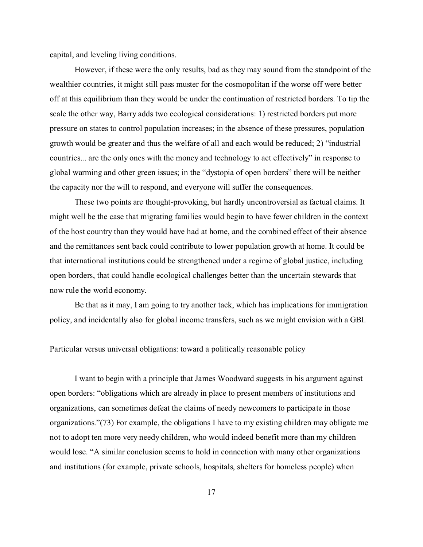capital, and leveling living conditions.

However, if these were the only results, bad as they may sound from the standpoint of the wealthier countries, it might still pass muster for the cosmopolitan if the worse off were better off at this equilibrium than they would be under the continuation of restricted borders. To tip the scale the other way, Barry adds two ecological considerations: 1) restricted borders put more pressure on states to control population increases; in the absence of these pressures, population growth would be greater and thus the welfare of all and each would be reduced; 2) "industrial countries... are the only ones with the money and technology to act effectively" in response to global warming and other green issues; in the "dystopia of open borders" there will be neither the capacity nor the will to respond, and everyone will suffer the consequences.

These two points are thought-provoking, but hardly uncontroversial as factual claims. It might well be the case that migrating families would begin to have fewer children in the context of the host country than they would have had at home, and the combined effect of their absence and the remittances sent back could contribute to lower population growth at home. It could be that international institutions could be strengthened under a regime of global justice, including open borders, that could handle ecological challenges better than the uncertain stewards that now rule the world economy.

Be that as it may, I am going to try another tack, which has implications for immigration policy, and incidentally also for global income transfers, such as we might envision with a GBI.

# Particular versus universal obligations: toward a politically reasonable policy

I want to begin with a principle that James Woodward suggests in his argument against open borders: "obligations which are already in place to present members of institutions and organizations, can sometimes defeat the claims of needy newcomers to participate in those organizations."(73) For example, the obligations I have to my existing children may obligate me not to adopt ten more very needy children, who would indeed benefit more than my children would lose. "A similar conclusion seems to hold in connection with many other organizations and institutions (for example, private schools, hospitals, shelters for homeless people) when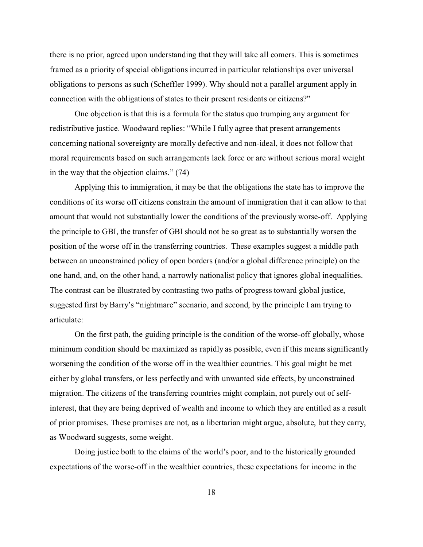there is no prior, agreed upon understanding that they will take all comers. This is sometimes framed as a priority of special obligations incurred in particular relationships over universal obligations to persons as such (Scheffler 1999). Why should not a parallel argument apply in connection with the obligations of states to their present residents or citizens?"

One objection is that this is a formula for the status quo trumping any argument for redistributive justice. Woodward replies: "While I fully agree that present arrangements concerning national sovereignty are morally defective and non-ideal, it does not follow that moral requirements based on such arrangements lack force or are without serious moral weight in the way that the objection claims." (74)

Applying this to immigration, it may be that the obligations the state has to improve the conditions of its worse off citizens constrain the amount of immigration that it can allow to that amount that would not substantially lower the conditions of the previously worse-off. Applying the principle to GBI, the transfer of GBI should not be so great as to substantially worsen the position of the worse off in the transferring countries. These examples suggest a middle path between an unconstrained policy of open borders (and/or a global difference principle) on the one hand, and, on the other hand, a narrowly nationalist policy that ignores global inequalities. The contrast can be illustrated by contrasting two paths of progress toward global justice, suggested first by Barry's "nightmare" scenario, and second, by the principle I am trying to articulate:

On the first path, the guiding principle is the condition of the worse-off globally, whose minimum condition should be maximized as rapidly as possible, even if this means significantly worsening the condition of the worse off in the wealthier countries. This goal might be met either by global transfers, or less perfectly and with unwanted side effects, by unconstrained migration. The citizens of the transferring countries might complain, not purely out of selfinterest, that they are being deprived of wealth and income to which they are entitled as a result of prior promises. These promises are not, as a libertarian might argue, absolute, but they carry, as Woodward suggests, some weight.

Doing justice both to the claims of the world's poor, and to the historically grounded expectations of the worse-off in the wealthier countries, these expectations for income in the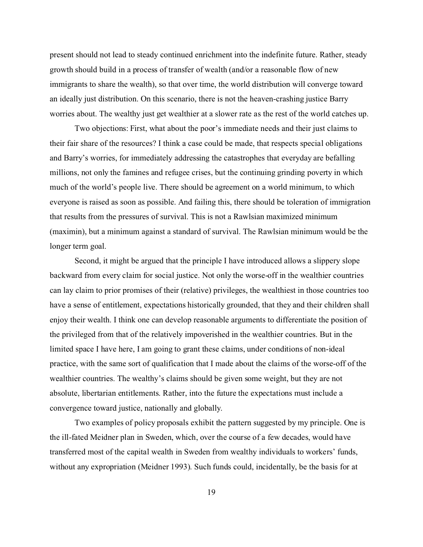present should not lead to steady continued enrichment into the indefinite future. Rather, steady growth should build in a process of transfer of wealth (and/or a reasonable flow of new immigrants to share the wealth), so that over time, the world distribution will converge toward an ideally just distribution. On this scenario, there is not the heaven-crashing justice Barry worries about. The wealthy just get wealthier at a slower rate as the rest of the world catches up.

Two objections: First, what about the poor's immediate needs and their just claims to their fair share of the resources? I think a case could be made, that respects special obligations and Barry's worries, for immediately addressing the catastrophes that everyday are befalling millions, not only the famines and refugee crises, but the continuing grinding poverty in which much of the world's people live. There should be agreement on a world minimum, to which everyone is raised as soon as possible. And failing this, there should be toleration of immigration that results from the pressures of survival. This is not a Rawlsian maximized minimum (maximin), but a minimum against a standard of survival. The Rawlsian minimum would be the longer term goal.

Second, it might be argued that the principle I have introduced allows a slippery slope backward from every claim for social justice. Not only the worse-off in the wealthier countries can lay claim to prior promises of their (relative) privileges, the wealthiest in those countries too have a sense of entitlement, expectations historically grounded, that they and their children shall enjoy their wealth. I think one can develop reasonable arguments to differentiate the position of the privileged from that of the relatively impoverished in the wealthier countries. But in the limited space I have here, I am going to grant these claims, under conditions of non-ideal practice, with the same sort of qualification that I made about the claims of the worse-off of the wealthier countries. The wealthy's claims should be given some weight, but they are not absolute, libertarian entitlements. Rather, into the future the expectations must include a convergence toward justice, nationally and globally.

Two examples of policy proposals exhibit the pattern suggested by my principle. One is the ill-fated Meidner plan in Sweden, which, over the course of a few decades, would have transferred most of the capital wealth in Sweden from wealthy individuals to workers' funds, without any expropriation (Meidner 1993). Such funds could, incidentally, be the basis for at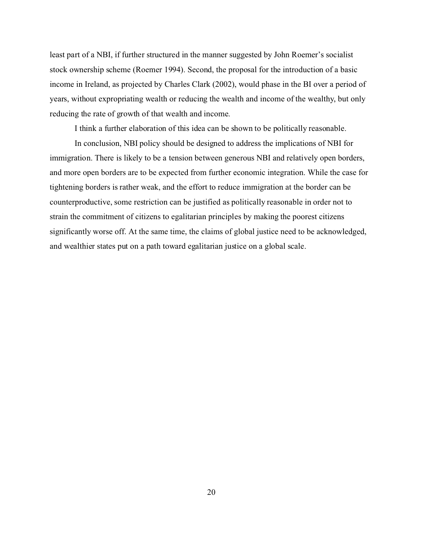least part of a NBI, if further structured in the manner suggested by John Roemer's socialist stock ownership scheme (Roemer 1994). Second, the proposal for the introduction of a basic income in Ireland, as projected by Charles Clark (2002), would phase in the BI over a period of years, without expropriating wealth or reducing the wealth and income of the wealthy, but only reducing the rate of growth of that wealth and income.

I think a further elaboration of this idea can be shown to be politically reasonable.

In conclusion, NBI policy should be designed to address the implications of NBI for immigration. There is likely to be a tension between generous NBI and relatively open borders, and more open borders are to be expected from further economic integration. While the case for tightening borders is rather weak, and the effort to reduce immigration at the border can be counterproductive, some restriction can be justified as politically reasonable in order not to strain the commitment of citizens to egalitarian principles by making the poorest citizens significantly worse off. At the same time, the claims of global justice need to be acknowledged, and wealthier states put on a path toward egalitarian justice on a global scale.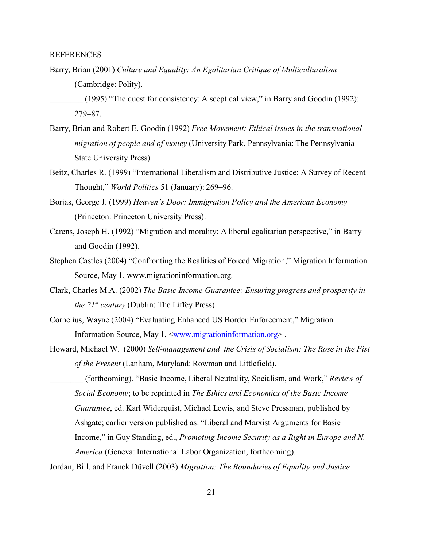# REFERENCES

Barry, Brian (2001) *Culture and Equality: An Egalitarian Critique of Multiculturalism* (Cambridge: Polity).

- Barry, Brian and Robert E. Goodin (1992) *Free Movement: Ethical issues in the transnational migration of people and of money* (University Park, Pennsylvania: The Pennsylvania State University Press)
- Beitz, Charles R. (1999) "International Liberalism and Distributive Justice: A Survey of Recent Thought," *World Politics* 51 (January): 269–96.
- Borjas, George J. (1999) *Heaven's Door: Immigration Policy and the American Economy* (Princeton: Princeton University Press).
- Carens, Joseph H. (1992) "Migration and morality: A liberal egalitarian perspective," in Barry and Goodin (1992).
- Stephen Castles (2004) "Confronting the Realities of Forced Migration," Migration Information Source, May 1, www.migrationinformation.org.
- Clark, Charles M.A. (2002) *The Basic Income Guarantee: Ensuring progress and prosperity in the 21st century* (Dublin: The Liffey Press).
- Cornelius, Wayne (2004) "Evaluating Enhanced US Border Enforcement," Migration Information Source, May 1, [<www.migrationinformation.org](http://www.migrationinformation.org>)>.
- Howard, Michael W. (2000) *Self-management and the Crisis of Socialism: The Rose in the Fist of the Present* (Lanham, Maryland: Rowman and Littlefield).
- \_\_\_\_\_\_\_\_ (forthcoming). "Basic Income, Liberal Neutrality, Socialism, and Work," *Review of Social Economy*; to be reprinted in *The Ethics and Economics of the Basic Income Guarantee*, ed. Karl Widerquist, Michael Lewis, and Steve Pressman, published by Ashgate; earlier version published as: "Liberal and Marxist Arguments for Basic Income," in Guy Standing, ed., *Promoting Income Security as a Right in Europe and N. America* (Geneva: International Labor Organization, forthcoming).

Jordan, Bill, and Franck Düvell (2003) *Migration: The Boundaries of Equality and Justice*

<sup>(1995) &</sup>quot;The quest for consistency: A sceptical view," in Barry and Goodin (1992): 279–87.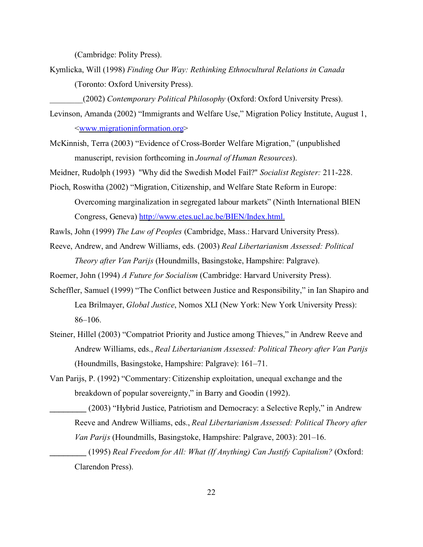(Cambridge: Polity Press).

Kymlicka, Will (1998) *Finding Our Way: Rethinking Ethnocultural Relations in Canada* (Toronto: Oxford University Press).

\_\_\_\_\_\_\_\_(2002) *Contemporary Political Philosophy* (Oxford: Oxford University Press).

- Levinson, Amanda (2002) "Immigrants and Welfare Use," Migration Policy Institute, August 1, [<www.migrationinformation.org](http://www.migrationinformation.org>)>
- McKinnish, Terra (2003) "Evidence of Cross-Border Welfare Migration," (unpublished manuscript, revision forthcoming in *Journal of Human Resources*).
- Meidner, Rudolph (1993) "Why did the Swedish Model Fail?" *Socialist Register:* 211-228.
- Pioch, Roswitha (2002) "Migration, Citizenship, and Welfare State Reform in Europe: Overcoming marginalization in segregated labour markets" (Ninth International BIEN Congress, Geneva)<http://www.etes.ucl.ac.be/BIEN/Index.html.>
- Rawls, John (1999) *The Law of Peoples* (Cambridge, Mass.: Harvard University Press).
- Reeve, Andrew, and Andrew Williams, eds. (2003) *Real Libertarianism Assessed: Political Theory after Van Parijs* (Houndmills, Basingstoke, Hampshire: Palgrave).
- Roemer, John (1994) *A Future for Socialism* (Cambridge: Harvard University Press).
- Scheffler, Samuel (1999) "The Conflict between Justice and Responsibility," in Ian Shapiro and Lea Brilmayer, *Global Justice*, Nomos XLI (New York: New York University Press): 86–106.
- Steiner, Hillel (2003) "Compatriot Priority and Justice among Thieves," in Andrew Reeve and Andrew Williams, eds., *Real Libertarianism Assessed: Political Theory after Van Parijs* (Houndmills, Basingstoke, Hampshire: Palgrave): 161–71.
- Van Parijs, P. (1992) "Commentary: Citizenship exploitation, unequal exchange and the breakdown of popular sovereignty," in Barry and Goodin (1992).
	- \_\_\_\_\_\_\_\_ (2003) "Hybrid Justice, Patriotism and Democracy: a Selective Reply," in Andrew Reeve and Andrew Williams, eds., *Real Libertarianism Assessed: Political Theory after Van Parijs* (Houndmills, Basingstoke, Hampshire: Palgrave, 2003): 201–16.
	- \_\_\_\_\_\_\_\_ (1995) *Real Freedom for All: What (If Anything) Can Justify Capitalism?* (Oxford: Clarendon Press).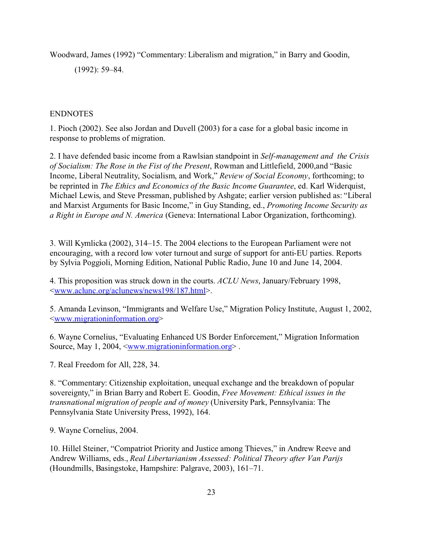Woodward, James (1992) "Commentary: Liberalism and migration," in Barry and Goodin,

(1992): 59–84.

# ENDNOTES

1. Pioch (2002). See also Jordan and Duvell (2003) for a case for a global basic income in response to problems of migration.

2. I have defended basic income from a Rawlsian standpoint in *Self-management and the Crisis of Socialism: The Rose in the Fist of the Present*, Rowman and Littlefield, 2000,and "Basic Income, Liberal Neutrality, Socialism, and Work," *Review of Social Economy*, forthcoming; to be reprinted in *The Ethics and Economics of the Basic Income Guarantee*, ed. Karl Widerquist, Michael Lewis, and Steve Pressman, published by Ashgate; earlier version published as: "Liberal and Marxist Arguments for Basic Income," in Guy Standing, ed., *Promoting Income Security as a Right in Europe and N. America* (Geneva: International Labor Organization, forthcoming).

3. Will Kymlicka (2002), 314–15. The 2004 elections to the European Parliament were not encouraging, with a record low voter turnout and surge of support for anti-EU parties. Reports by Sylvia Poggioli, Morning Edition, National Public Radio, June 10 and June 14, 2004.

4. This proposition was struck down in the courts. *ACLU News*, January/February 1998, [<www.aclunc.org/aclunews/news198/187.html](http://www.aclunc.org/aclunews/news198/187.html>)>.

5. Amanda Levinson, "Immigrants and Welfare Use," Migration Policy Institute, August 1, 2002, [<www.migrationinformation.org](http://www.migrationinformation.org>)>

6. Wayne Cornelius, "Evaluating Enhanced US Border Enforcement," Migration Information Source, May 1, 2004, [<www.migrationinformation.org](http://www.migrationinformation.org>)> .

7. Real Freedom for All, 228, 34.

8. "Commentary: Citizenship exploitation, unequal exchange and the breakdown of popular sovereignty," in Brian Barry and Robert E. Goodin, *Free Movement: Ethical issues in the transnational migration of people and of money* (University Park, Pennsylvania: The Pennsylvania State University Press, 1992), 164.

9. Wayne Cornelius, 2004.

10. Hillel Steiner, "Compatriot Priority and Justice among Thieves," in Andrew Reeve and Andrew Williams, eds., *Real Libertarianism Assessed: Political Theory after Van Parijs* (Houndmills, Basingstoke, Hampshire: Palgrave, 2003), 161–71.